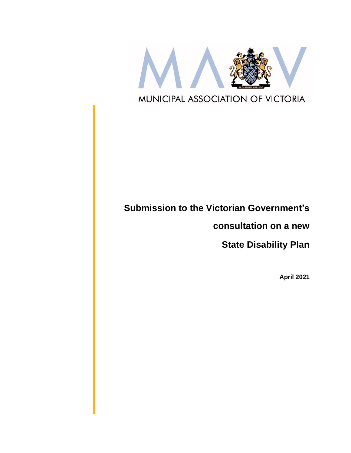

# **Submission to the Victorian Government's**

**consultation on a new** 

**State Disability Plan**

**April 2021**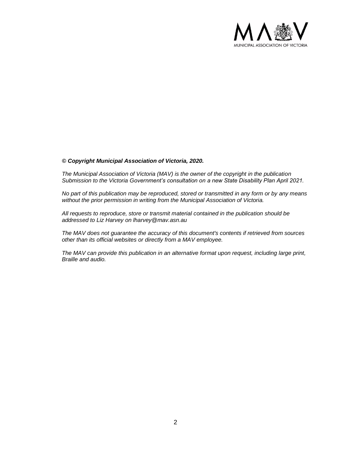

#### *© Copyright Municipal Association of Victoria, 2020.*

*The Municipal Association of Victoria (MAV) is the owner of the copyright in the publication Submission to the Victoria Government's consultation on a new State Disability Plan April 2021.* 

*No part of this publication may be reproduced, stored or transmitted in any form or by any means without the prior permission in writing from the Municipal Association of Victoria.* 

*All requests to reproduce, store or transmit material contained in the publication should be addressed to Liz Harvey on lharvey@mav.asn.au* 

*The MAV does not guarantee the accuracy of this document's contents if retrieved from sources other than its official websites or directly from a MAV employee.*

*The MAV can provide this publication in an alternative format upon request, including large print, Braille and audio.*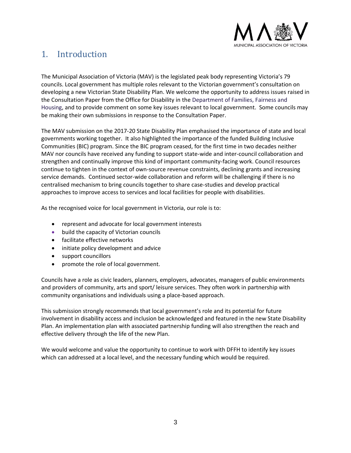

## 1. Introduction

The Municipal Association of Victoria (MAV) is the legislated peak body representing Victoria's 79 councils. Local government has multiple roles relevant to the Victorian government's consultation on developing a new Victorian State Disability Plan. We welcome the opportunity to address issues raised in the Consultation Paper from the Office for Disability in the Department of Families, Fairness and Housing, and to provide comment on some key issues relevant to local government. Some councils may be making their own submissions in response to the Consultation Paper.

The MAV submission on the 2017-20 State Disability Plan emphasised the importance of state and local governments working together. It also highlighted the importance of the funded Building Inclusive Communities (BIC) program. Since the BIC program ceased, for the first time in two decades neither MAV nor councils have received any funding to support state-wide and inter-council collaboration and strengthen and continually improve this kind of important community-facing work. Council resources continue to tighten in the context of own-source revenue constraints, declining grants and increasing service demands. Continued sector-wide collaboration and reform will be challenging if there is no centralised mechanism to bring councils together to share case-studies and develop practical approaches to improve access to services and local facilities for people with disabilities.

As the recognised voice for local government in Victoria, our role is to:

- represent and advocate for local government interests
- build the capacity of Victorian councils
- facilitate effective networks
- initiate policy development and advice
- support councillors
- promote the role of local government.

Councils have a role as civic leaders, planners, employers, advocates, managers of public environments and providers of community, arts and sport/ leisure services. They often work in partnership with community organisations and individuals using a place-based approach.

This submission strongly recommends that local government's role and its potential for future involvement in disability access and inclusion be acknowledged and featured in the new State Disability Plan. An implementation plan with associated partnership funding will also strengthen the reach and effective delivery through the life of the new Plan.

We would welcome and value the opportunity to continue to work with DFFH to identify key issues which can addressed at a local level, and the necessary funding which would be required.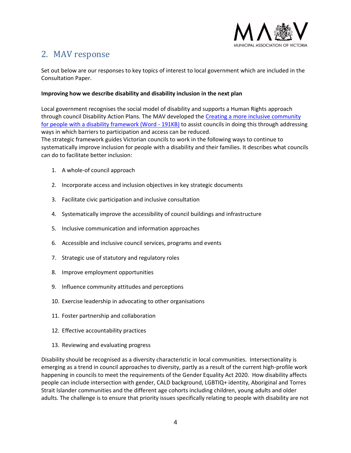

# 2. MAV response

Set out below are our responses to key topics of interest to local government which are included in the Consultation Paper.

## **Improving how we describe disability and disability inclusion in the next plan**

Local government recognises the social model of disability and supports a Human Rights approach through council Disability Action Plans. The MAV developed the [Creating a more inclusive community](https://www.mav.asn.au/__data/assets/word_doc/0011/7103/Creating-a-more-inclusive-community-for-people-with-a-disability-framework.docx)  [for people with a disability framework \(Word -](https://www.mav.asn.au/__data/assets/word_doc/0011/7103/Creating-a-more-inclusive-community-for-people-with-a-disability-framework.docx) 191KB) to assist councils in doing this through addressing ways in which barriers to participation and access can be reduced.

The strategic framework guides Victorian councils to work in the following ways to continue to systematically improve inclusion for people with a disability and their families. It describes what councils can do to facilitate better inclusion:

- 1. A whole-of council approach
- 2. Incorporate access and inclusion objectives in key strategic documents
- 3. Facilitate civic participation and inclusive consultation
- 4. Systematically improve the accessibility of council buildings and infrastructure
- 5. Inclusive communication and information approaches
- 6. Accessible and inclusive council services, programs and events
- 7. Strategic use of statutory and regulatory roles
- 8. Improve employment opportunities
- 9. Influence community attitudes and perceptions
- 10. Exercise leadership in advocating to other organisations
- 11. Foster partnership and collaboration
- 12. Effective accountability practices
- 13. Reviewing and evaluating progress

Disability should be recognised as a diversity characteristic in local communities. Intersectionality is emerging as a trend in council approaches to diversity, partly as a result of the current high-profile work happening in councils to meet the requirements of the Gender Equality Act 2020. How disability affects people can include intersection with gender, CALD background, LGBTIQ+ identity, Aboriginal and Torres Strait Islander communities and the different age cohorts including children, young adults and older adults. The challenge is to ensure that priority issues specifically relating to people with disability are not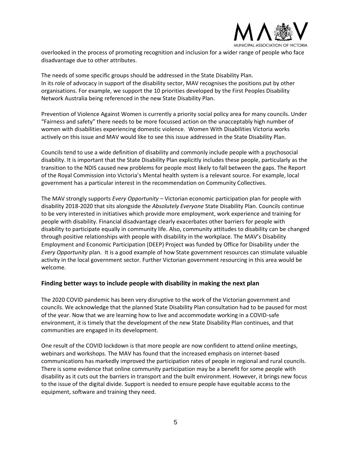

overlooked in the process of promoting recognition and inclusion for a wider range of people who face disadvantage due to other attributes.

The needs of some specific groups should be addressed in the State Disability Plan. In its role of advocacy in support of the disability sector, MAV recognises the positions put by other organisations. For example, we support the 10 priorities developed by the First Peoples Disability Network Australia being referenced in the new State Disability Plan.

Prevention of Violence Against Women is currently a priority social policy area for many councils. Under "Fairness and safety" there needs to be more focussed action on the unacceptably high number of women with disabilities experiencing domestic violence. Women With Disabilities Victoria works actively on this issue and MAV would like to see this issue addressed in the State Disability Plan.

Councils tend to use a wide definition of disability and commonly include people with a psychosocial disability. It is important that the State Disability Plan explicitly includes these people, particularly as the transition to the NDIS caused new problems for people most likely to fall between the gaps. The Report of the Royal Commission into Victoria's Mental health system is a relevant source. For example, local government has a particular interest in the recommendation on Community Collectives.

The MAV strongly supports *Every Opportunity* – Victorian economic participation plan for people with disability 2018-2020 that sits alongside the *Absolutely Everyone* State Disability Plan. Councils continue to be very interested in initiatives which provide more employment, work experience and training for people with disability. Financial disadvantage clearly exacerbates other barriers for people with disability to participate equally in community life. Also, community attitudes to disability can be changed through positive relationships with people with disability in the workplace. The MAV's Disability Employment and Economic Participation (DEEP) Project was funded by Office for Disability under the *Every Opportunity* plan. It is a good example of how State government resources can stimulate valuable activity in the local government sector. Further Victorian government resourcing in this area would be welcome.

## **Finding better ways to include people with disability in making the next plan**

The 2020 COVID pandemic has been very disruptive to the work of the Victorian government and councils. We acknowledge that the planned State Disability Plan consultation had to be paused for most of the year. Now that we are learning how to live and accommodate working in a COVID-safe environment, it is timely that the development of the new State Disability Plan continues, and that communities are engaged in its development.

One result of the COVID lockdown is that more people are now confident to attend online meetings, webinars and workshops. The MAV has found that the increased emphasis on internet-based communications has markedly improved the participation rates of people in regional and rural councils. There is some evidence that online community participation may be a benefit for some people with disability as it cuts out the barriers in transport and the built environment. However, it brings new focus to the issue of the digital divide. Support is needed to ensure people have equitable access to the equipment, software and training they need.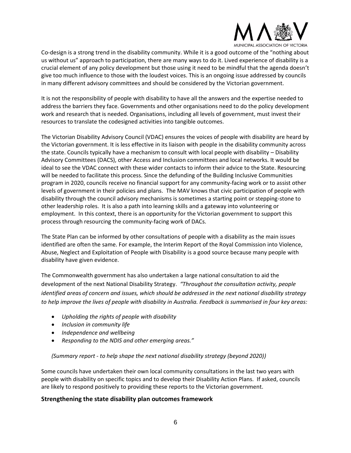

Co-design is a strong trend in the disability community. While it is a good outcome of the "nothing about us without us" approach to participation, there are many ways to do it. Lived experience of disability is a crucial element of any policy development but those using it need to be mindful that the agenda doesn't give too much influence to those with the loudest voices. This is an ongoing issue addressed by councils in many different advisory committees and should be considered by the Victorian government.

It is not the responsibility of people with disability to have all the answers and the expertise needed to address the barriers they face. Governments and other organisations need to do the policy development work and research that is needed. Organisations, including all levels of government, must invest their resources to translate the codesigned activities into tangible outcomes.

The Victorian Disability Advisory Council (VDAC) ensures the voices of people with disability are heard by the Victorian government. It is less effective in its liaison with people in the disability community across the state. Councils typically have a mechanism to consult with local people with disability – Disability Advisory Committees (DACS), other Access and Inclusion committees and local networks. It would be ideal to see the VDAC connect with these wider contacts to inform their advice to the State. Resourcing will be needed to facilitate this process. Since the defunding of the Building Inclusive Communities program in 2020, councils receive no financial support for any community-facing work or to assist other levels of government in their policies and plans. The MAV knows that civic participation of people with disability through the council advisory mechanisms is sometimes a starting point or stepping-stone to other leadership roles. It is also a path into learning skills and a gateway into volunteering or employment. In this context, there is an opportunity for the Victorian government to support this process through resourcing the community-facing work of DACs.

The State Plan can be informed by other consultations of people with a disability as the main issues identified are often the same. For example, the Interim Report of the Royal Commission into Violence, Abuse, Neglect and Exploitation of People with Disability is a good source because many people with disability have given evidence.

The Commonwealth government has also undertaken a large national consultation to aid the development of the next National Disability Strategy. *"Throughout the consultation activity, people identified areas of concern and issues, which should be addressed in the next national disability strategy to help improve the lives of people with disability in Australia. Feedback is summarised in four key areas:*

- *Upholding the rights of people with disability*
- *Inclusion in community life*
- *Independence and wellbeing*
- *Responding to the NDIS and other emerging areas."*

## *(Summary report - to help shape the next national disability strategy (beyond 2020))*

Some councils have undertaken their own local community consultations in the last two years with people with disability on specific topics and to develop their Disability Action Plans. If asked, councils are likely to respond positively to providing these reports to the Victorian government.

## **Strengthening the state disability plan outcomes framework**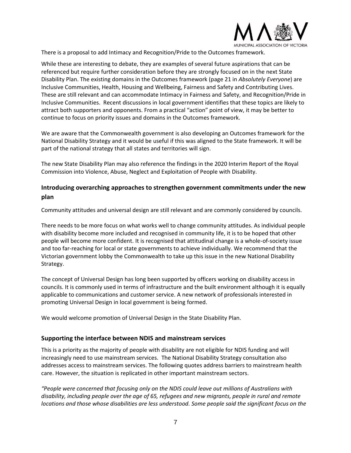

There is a proposal to add Intimacy and Recognition/Pride to the Outcomes framework.

While these are interesting to debate, they are examples of several future aspirations that can be referenced but require further consideration before they are strongly focused on in the next State Disability Plan. The existing domains in the Outcomes framework (page 21 in *Absolutely Everyone*) are Inclusive Communities, Health, Housing and Wellbeing, Fairness and Safety and Contributing Lives. These are still relevant and can accommodate Intimacy in Fairness and Safety, and Recognition/Pride in Inclusive Communities. Recent discussions in local government identifies that these topics are likely to attract both supporters and opponents. From a practical "action" point of view, it may be better to continue to focus on priority issues and domains in the Outcomes framework.

We are aware that the Commonwealth government is also developing an Outcomes framework for the National Disability Strategy and it would be useful if this was aligned to the State framework. It will be part of the national strategy that all states and territories will sign.

The new State Disability Plan may also reference the findings in the 2020 Interim Report of the Royal Commission into Violence, Abuse, Neglect and Exploitation of People with Disability.

## **Introducing overarching approaches to strengthen government commitments under the new plan**

Community attitudes and universal design are still relevant and are commonly considered by councils.

There needs to be more focus on what works well to change community attitudes. As individual people with disability become more included and recognised in community life, it is to be hoped that other people will become more confident. It is recognised that attitudinal change is a whole-of-society issue and too far-reaching for local or state governments to achieve individually. We recommend that the Victorian government lobby the Commonwealth to take up this issue in the new National Disability Strategy.

The concept of Universal Design has long been supported by officers working on disability access in councils. It is commonly used in terms of infrastructure and the built environment although it is equally applicable to communications and customer service. A new network of professionals interested in promoting Universal Design in local government is being formed.

We would welcome promotion of Universal Design in the State Disability Plan.

## **Supporting the interface between NDIS and mainstream services**

This is a priority as the majority of people with disability are not eligible for NDIS funding and will increasingly need to use mainstream services. The National Disability Strategy consultation also addresses access to mainstream services. The following quotes address barriers to mainstream health care. However, the situation is replicated in other important mainstream sectors.

*"People were concerned that focusing only on the NDIS could leave out millions of Australians with disability, including people over the age of 65, refugees and new migrants, people in rural and remote locations and those whose disabilities are less understood. Some people said the significant focus on the*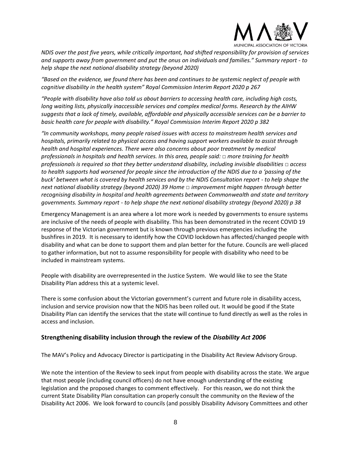

*NDIS over the past five years, while critically important, had shifted responsibility for provision of services and supports away from government and put the onus on individuals and families." Summary report - to help shape the next national disability strategy (beyond 2020)*

*"Based on the evidence, we found there has been and continues to be systemic neglect of people with cognitive disability in the health system" Royal Commission Interim Report 2020 p 267*

*"People with disability have also told us about barriers to accessing health care, including high costs, long waiting lists, physically inaccessible services and complex medical forms. Research by the AIHW suggests that a lack of timely, available, affordable and physically accessible services can be a barrier to basic health care for people with disability." Royal Commission Interim Report 2020 p 382*

*"In community workshops, many people raised issues with access to mainstream health services and hospitals, primarily related to physical access and having support workers available to assist through health and hospital experiences. There were also concerns about poor treatment by medical professionals in hospitals and health services. In this area, people said: □ more training for health professionals is required so that they better understand disability, including invisible disabilities □ access to health supports had worsened for people since the introduction of the NDIS due to a 'passing of the buck' between what is covered by health services and by the NDIS Consultation report - to help shape the next national disability strategy (beyond 2020) 39 Home □ improvement might happen through better recognising disability in hospital and health agreements between Commonwealth and state and territory governments. Summary report - to help shape the next national disability strategy (beyond 2020) p 38* 

Emergency Management is an area where a lot more work is needed by governments to ensure systems are inclusive of the needs of people with disability. This has been demonstrated in the recent COVID 19 response of the Victorian government but is known through previous emergencies including the bushfires in 2019. It is necessary to identify how the COVID lockdown has affected/changed people with disability and what can be done to support them and plan better for the future. Councils are well-placed to gather information, but not to assume responsibility for people with disability who need to be included in mainstream systems.

People with disability are overrepresented in the Justice System. We would like to see the State Disability Plan address this at a systemic level.

There is some confusion about the Victorian government's current and future role in disability access, inclusion and service provision now that the NDIS has been rolled out. It would be good if the State Disability Plan can identify the services that the state will continue to fund directly as well as the roles in access and inclusion.

## **Strengthening disability inclusion through the review of the** *Disability Act 2006*

The MAV's Policy and Advocacy Director is participating in the Disability Act Review Advisory Group.

We note the intention of the Review to seek input from people with disability across the state. We argue that most people (including council officers) do not have enough understanding of the existing legislation and the proposed changes to comment effectively. For this reason, we do not think the current State Disability Plan consultation can properly consult the community on the Review of the Disability Act 2006. We look forward to councils (and possibly Disability Advisory Committees and other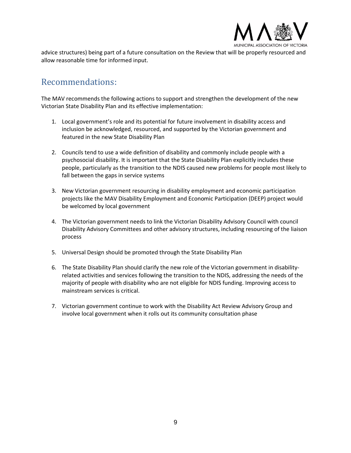

advice structures) being part of a future consultation on the Review that will be properly resourced and allow reasonable time for informed input.

## Recommendations:

The MAV recommends the following actions to support and strengthen the development of the new Victorian State Disability Plan and its effective implementation:

- 1. Local government's role and its potential for future involvement in disability access and inclusion be acknowledged, resourced, and supported by the Victorian government and featured in the new State Disability Plan
- 2. Councils tend to use a wide definition of disability and commonly include people with a psychosocial disability. It is important that the State Disability Plan explicitly includes these people, particularly as the transition to the NDIS caused new problems for people most likely to fall between the gaps in service systems
- 3. New Victorian government resourcing in disability employment and economic participation projects like the MAV Disability Employment and Economic Participation (DEEP) project would be welcomed by local government
- 4. The Victorian government needs to link the Victorian Disability Advisory Council with council Disability Advisory Committees and other advisory structures, including resourcing of the liaison process
- 5. Universal Design should be promoted through the State Disability Plan
- 6. The State Disability Plan should clarify the new role of the Victorian government in disabilityrelated activities and services following the transition to the NDIS, addressing the needs of the majority of people with disability who are not eligible for NDIS funding. Improving access to mainstream services is critical.
- 7. Victorian government continue to work with the Disability Act Review Advisory Group and involve local government when it rolls out its community consultation phase